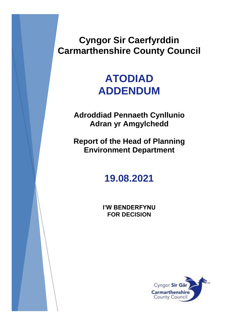### **Cyngor Sir Caerfyrddin Carmarthenshire County Council**

# **ATODIAD ADDENDUM**

**Adroddiad Pennaeth Cynllunio Adran yr Amgylchedd**

**Report of the Head of Planning Environment Department**

## **19.08.2021**

**I'W BENDERFYNU FOR DECISION**

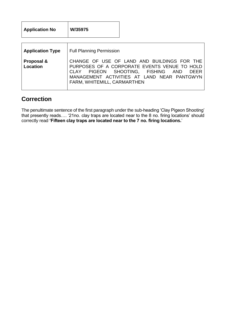| <b>Application No</b>   | W/35975                                                     |                                                                                                                                                                                       |
|-------------------------|-------------------------------------------------------------|---------------------------------------------------------------------------------------------------------------------------------------------------------------------------------------|
|                         |                                                             |                                                                                                                                                                                       |
| <b>Application Type</b> | <b>Full Planning Permission</b>                             |                                                                                                                                                                                       |
| Proposal &<br>Location  | <b>PIGEON</b><br><b>CLAY</b><br>FARM, WHITEMILL, CARMARTHEN | CHANGE OF USE OF LAND AND BUILDINGS FOR THE<br>PURPOSES OF A CORPORATE EVENTS VENUE TO HOLD<br>SHOOTING, FISHING<br><b>DEER</b><br>AND<br>MANAGEMENT ACTIVITIES AT LAND NEAR PANTGWYN |

#### **Correction**

The penultimate sentence of the first paragraph under the sub-heading 'Clay Pigeon Shooting' that presently reads…. '21no. clay traps are located near to the 8 no. firing locations' should correctly read **'Fifteen clay traps are located near to the 7 no. firing locations.**'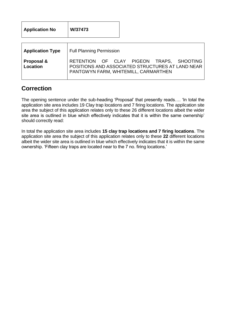| <b>Application No</b> | W/37473 |
|-----------------------|---------|
|                       |         |

| <b>Application Type</b> | <b>Full Planning Permission</b>                                                                                                      |
|-------------------------|--------------------------------------------------------------------------------------------------------------------------------------|
| Proposal &<br>Location  | RETENTION OF CLAY PIGEON TRAPS, SHOOTING<br>POSITIONS AND ASSOCIATED STRUCTURES AT LAND NEAR<br>PANTGWYN FARM, WHITEMILL, CARMARTHEN |

#### **Correction**

The opening sentence under the sub-heading 'Proposal' that presently reads…. 'In total the application site area includes 19 Clay trap locations and 7 firing locations. The application site area the subject of this application relates only to these 26 different locations albeit the wider site area is outlined in blue which effectively indicates that it is within the same ownership' should correctly read:

In total the application site area includes **15 clay trap locations and 7 firing locations**. The application site area the subject of this application relates only to these **22** different locations albeit the wider site area is outlined in blue which effectively indicates that it is within the same ownership. 'Fifteen clay traps are located near to the 7 no. firing locations.'